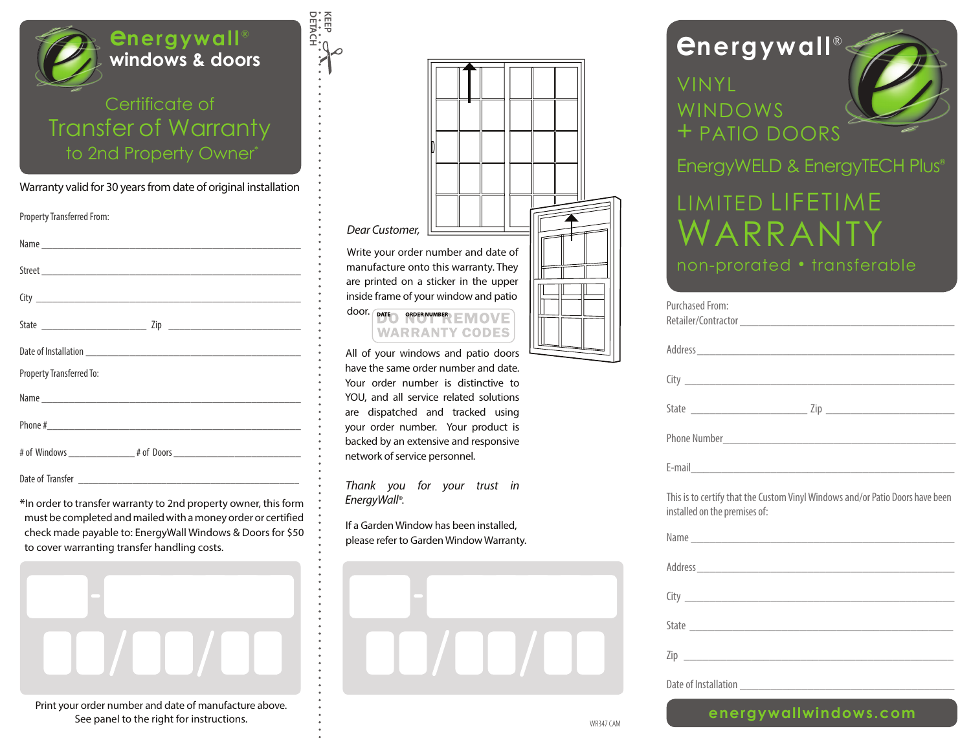

| $\mathcal{L}(\mathcal{L})$ |            |
|----------------------------|------------|
|                            |            |
|                            |            |
| Property Transferred To:   |            |
|                            |            |
|                            | Phone $\#$ |
|                            |            |
| Date of Transfer           |            |

\*In order to transfer warranty to 2nd property owner, this form must be completed and mailed with a money order or certified check made payable to: EnergyWall Windows & Doors for \$50 to cover warranting transfer handling costs.



| Print your order number and date of manufacture above. |  |
|--------------------------------------------------------|--|
| See panel to the right for instructions.               |  |

| Dear Customer,                                                                                                                                                |  |  |  |  |
|---------------------------------------------------------------------------------------------------------------------------------------------------------------|--|--|--|--|
| Write your order number and date of<br>manufacture onto this warranty. They<br>are printed on a sticker in the upper<br>inside frame of your window and patio |  |  |  |  |

## door. Date order number FMOVE **WARRANTY CODES**

**DETACH KEEP**

All of your windows and patio doors have the same order number and date. Your order number is distinctive to YOU, and all service related solutions are dispatched and tracked using your order number. Your product is backed by an extensive and responsive network of service personnel.

*Thank you for your trust in EnergyWall*®.

If a Garden Window has been installed, please refer to Garden Window Warranty.



## VINYL WINDOWS + PATIO DOORS



EnergyWELD & EnergyTECH Plus®

# LIMITED LIFETIME WARRANTY

| Purchased From:                                                                                                |  |  |  |
|----------------------------------------------------------------------------------------------------------------|--|--|--|
|                                                                                                                |  |  |  |
|                                                                                                                |  |  |  |
|                                                                                                                |  |  |  |
|                                                                                                                |  |  |  |
|                                                                                                                |  |  |  |
| This is to certify that the Custom Vinyl Windows and/or Patio Doors have been<br>installed on the premises of: |  |  |  |
|                                                                                                                |  |  |  |

| City                                                                                                                          |
|-------------------------------------------------------------------------------------------------------------------------------|
|                                                                                                                               |
| State                                                                                                                         |
| Zip<br><u> 1980 - Jan Barbara, manazarta bashkar a shekara ta 1980 ha shekara ta 1980 ha shekara ta 1980 ha shekara ta 19</u> |

Date of Installation